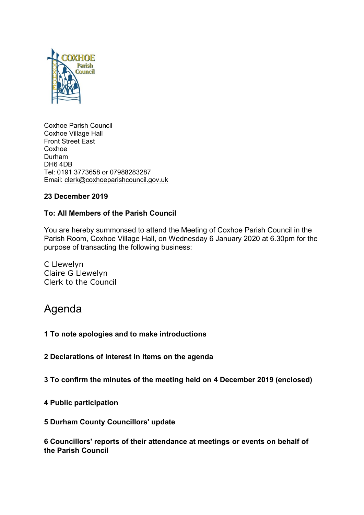

Coxhoe Parish Council Coxhoe Village Hall Front Street East **Coxhoe** Durham DH6 4DB Tel: 0191 3773658 or 07988283287 Email: [clerk@coxhoeparishcouncil.gov.uk](mailto:clerk@coxhoeparishcouncil.gov.uk)

# **23 December 2019**

# **To: All Members of the Parish Council**

You are hereby summonsed to attend the Meeting of Coxhoe Parish Council in the Parish Room, Coxhoe Village Hall, on Wednesday 6 January 2020 at 6.30pm for the purpose of transacting the following business:

C Llewelyn Claire G Llewelyn Clerk to the Council

# Agenda

## **1 To note apologies and to make introductions**

**2 Declarations of interest in items on the agenda**

**3 To confirm the minutes of the meeting held on 4 December 2019 (enclosed)**

**4 Public participation**

## **5 Durham County Councillors' update**

**6 Councillors' reports of their attendance at meetings or events on behalf of the Parish Council**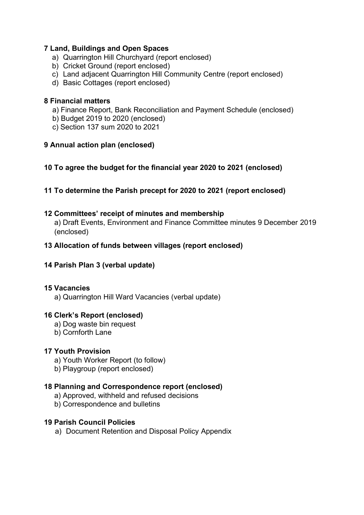# **7 Land, Buildings and Open Spaces**

- a) Quarrington Hill Churchyard (report enclosed)
- b) Cricket Ground (report enclosed)
- c) Land adjacent Quarrington Hill Community Centre (report enclosed)
- d) Basic Cottages (report enclosed)

# **8 Financial matters**

- a) Finance Report, Bank Reconciliation and Payment Schedule (enclosed)
- b) Budget 2019 to 2020 (enclosed)
- c) Section 137 sum 2020 to 2021

# **9 Annual action plan (enclosed)**

# **10 To agree the budget for the financial year 2020 to 2021 (enclosed)**

**11 To determine the Parish precept for 2020 to 2021 (report enclosed)**

# **12 Committees' receipt of minutes and membership**

a) Draft Events, Environment and Finance Committee minutes 9 December 2019 (enclosed)

# **13 Allocation of funds between villages (report enclosed)**

# **14 Parish Plan 3 (verbal update)**

## **15 Vacancies**

a) Quarrington Hill Ward Vacancies (verbal update)

## **16 Clerk's Report (enclosed)**

- a) Dog waste bin request
- b) Cornforth Lane

# **17 Youth Provision**

- a) Youth Worker Report (to follow)
- b) Playgroup (report enclosed)

## **18 Planning and Correspondence report (enclosed)**

- a) Approved, withheld and refused decisions
- b) Correspondence and bulletins

## **19 Parish Council Policies**

a) Document Retention and Disposal Policy Appendix